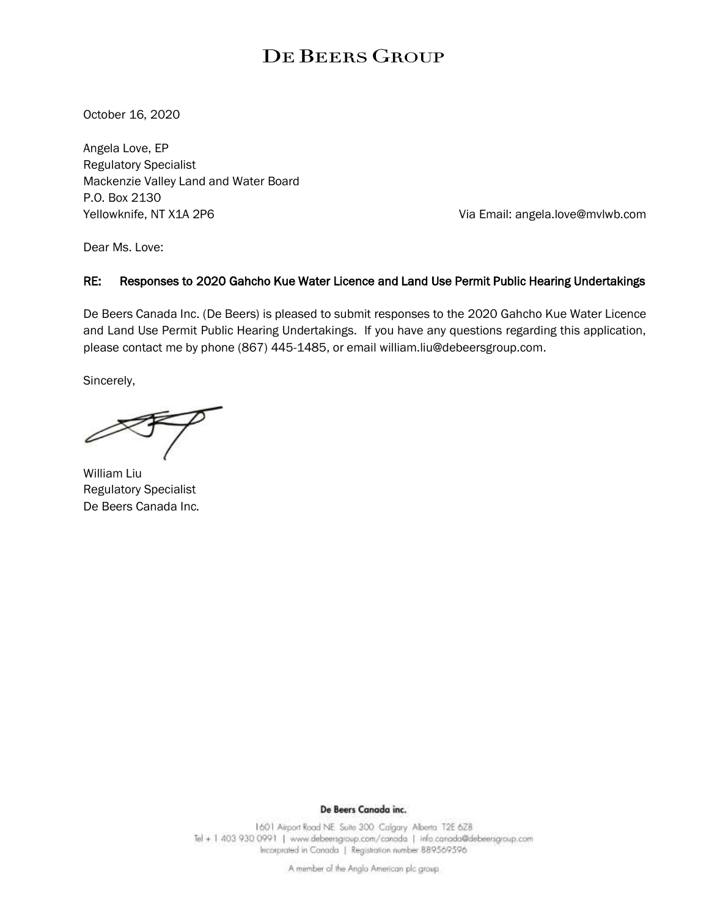## DE BEERS GROUP

October 16, 2020

Angela Love, EP Regulatory Specialist Mackenzie Valley Land and Water Board P.O. Box 2130 Yellowknife, NT X1A 2P6 Via Email: angela.love@mvlwb.com

Dear Ms. Love:

#### RE: Responses to 2020 Gahcho Kue Water Licence and Land Use Permit Public Hearing Undertakings

De Beers Canada Inc. (De Beers) is pleased to submit responses to the 2020 Gahcho Kue Water Licence and Land Use Permit Public Hearing Undertakings. If you have any questions regarding this application, please contact me by phone (867) 445-1485, or email william.liu@debeersgroup.com.

Sincerely,

William Liu Regulatory Specialist De Beers Canada Inc.

De Beers Canada inc.

1601 Airport Road NE Suite 300 Calgary Alberta T2E 6Z8 Tel + 1 403 930 0991 | www.debeersgroup.com/canada | info.canada@debeersgroup.com Incorprated in Canada | Registration number 889569596

A member of the Anglo American plc group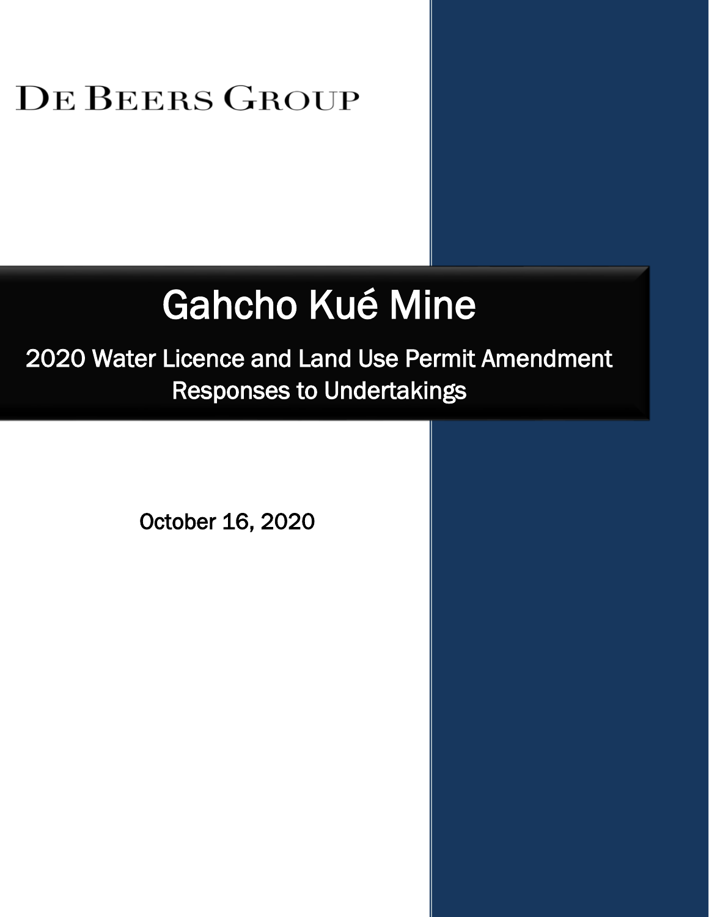## DE BEERS GROUP

# Gahcho Kué Mine

2020 Water Licence and Land Use Permit Amendment Responses to Undertakings

October 16, 2020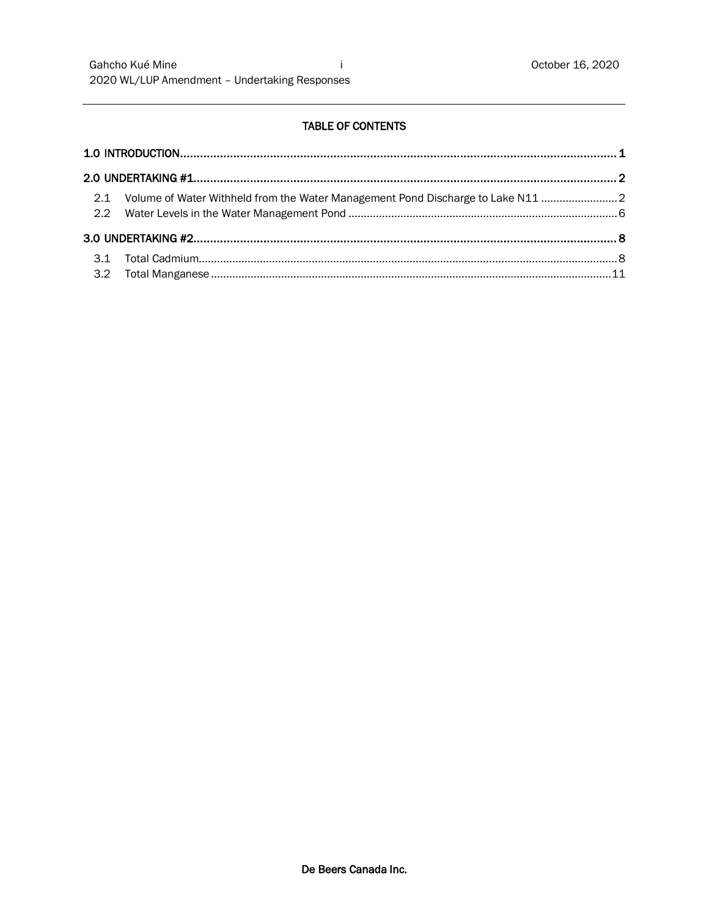#### TABLE OF CONTENTS

| 2.1 Volume of Water Withheld from the Water Management Pond Discharge to Lake N11 |  |
|-----------------------------------------------------------------------------------|--|
|                                                                                   |  |
|                                                                                   |  |
|                                                                                   |  |
|                                                                                   |  |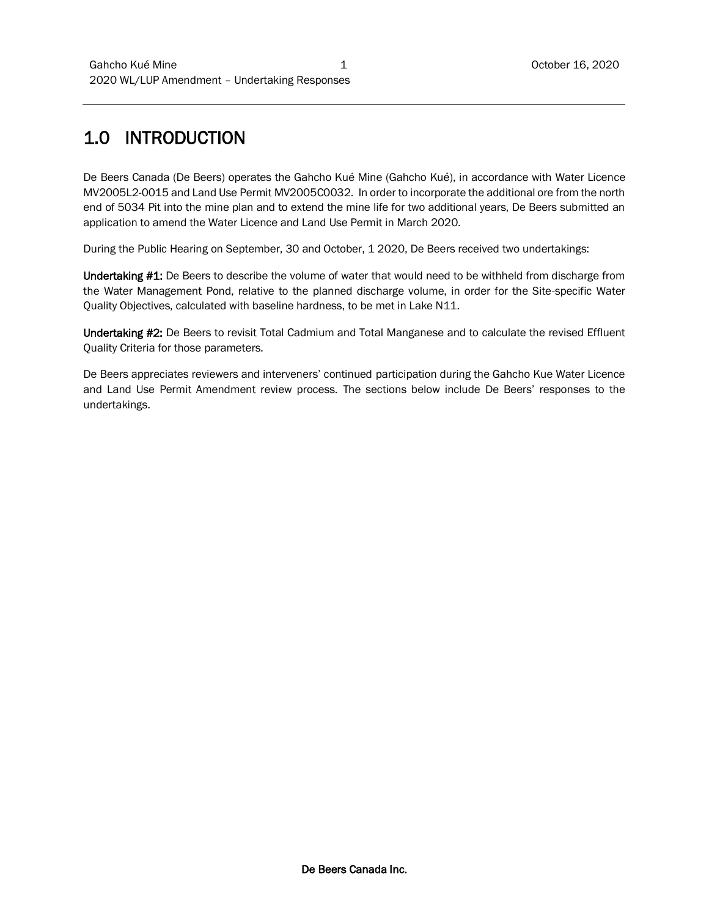## 1.0 INTRODUCTION

De Beers Canada (De Beers) operates the Gahcho Kué Mine (Gahcho Kué), in accordance with Water Licence MV2005L2-0015 and Land Use Permit MV2005C0032. In order to incorporate the additional ore from the north end of 5034 Pit into the mine plan and to extend the mine life for two additional years, De Beers submitted an application to amend the Water Licence and Land Use Permit in March 2020.

During the Public Hearing on September, 30 and October, 1 2020, De Beers received two undertakings:

Undertaking #1: De Beers to describe the volume of water that would need to be withheld from discharge from the Water Management Pond, relative to the planned discharge volume, in order for the Site-specific Water Quality Objectives, calculated with baseline hardness, to be met in Lake N11.

Undertaking #2: De Beers to revisit Total Cadmium and Total Manganese and to calculate the revised Effluent Quality Criteria for those parameters.

De Beers appreciates reviewers and interveners' continued participation during the Gahcho Kue Water Licence and Land Use Permit Amendment review process. The sections below include De Beers' responses to the undertakings.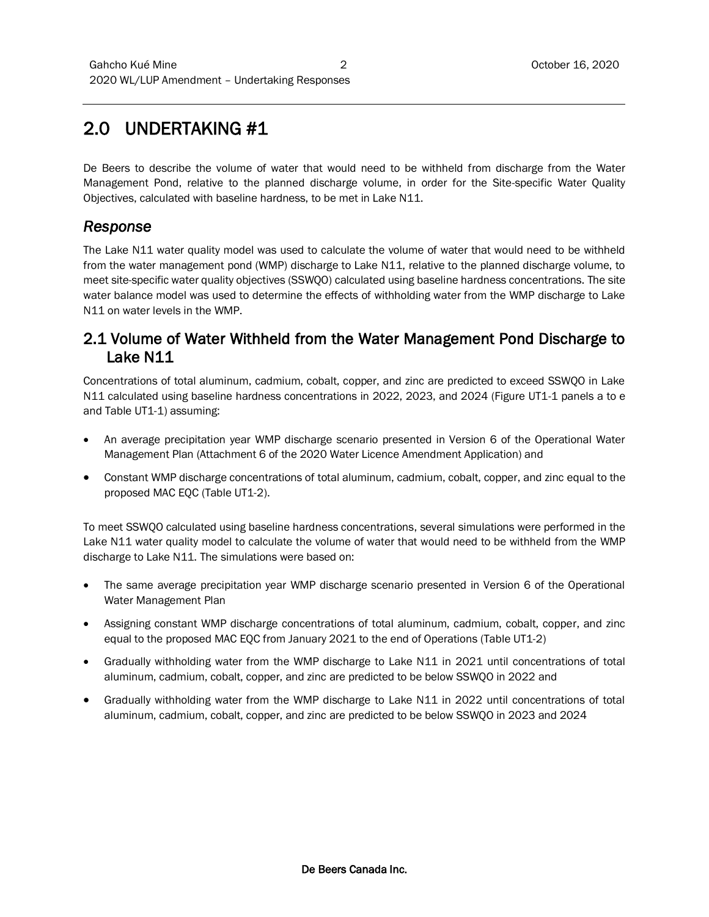## 2.0 UNDERTAKING #1

De Beers to describe the volume of water that would need to be withheld from discharge from the Water Management Pond, relative to the planned discharge volume, in order for the Site-specific Water Quality Objectives, calculated with baseline hardness, to be met in Lake N11.

#### *Response*

The Lake N11 water quality model was used to calculate the volume of water that would need to be withheld from the water management pond (WMP) discharge to Lake N11, relative to the planned discharge volume, to meet site-specific water quality objectives (SSWQO) calculated using baseline hardness concentrations. The site water balance model was used to determine the effects of withholding water from the WMP discharge to Lake N11 on water levels in the WMP.

### 2.1 Volume of Water Withheld from the Water Management Pond Discharge to Lake N11

Concentrations of total aluminum, cadmium, cobalt, copper, and zinc are predicted to exceed SSWQO in Lake N11 calculated using baseline hardness concentrations in 2022, 2023, and 2024 (Figure UT1-1 panels a to e and Table UT1-1) assuming:

- An average precipitation year WMP discharge scenario presented in Version 6 of the Operational Water Management Plan (Attachment 6 of the 2020 Water Licence Amendment Application) and
- Constant WMP discharge concentrations of total aluminum, cadmium, cobalt, copper, and zinc equal to the proposed MAC EQC (Table UT1-2).

To meet SSWQO calculated using baseline hardness concentrations, several simulations were performed in the Lake N11 water quality model to calculate the volume of water that would need to be withheld from the WMP discharge to Lake N11. The simulations were based on:

- The same average precipitation year WMP discharge scenario presented in Version 6 of the Operational Water Management Plan
- Assigning constant WMP discharge concentrations of total aluminum, cadmium, cobalt, copper, and zinc equal to the proposed MAC EQC from January 2021 to the end of Operations (Table UT1-2)
- Gradually withholding water from the WMP discharge to Lake N11 in 2021 until concentrations of total aluminum, cadmium, cobalt, copper, and zinc are predicted to be below SSWQO in 2022 and
- Gradually withholding water from the WMP discharge to Lake N11 in 2022 until concentrations of total aluminum, cadmium, cobalt, copper, and zinc are predicted to be below SSWQO in 2023 and 2024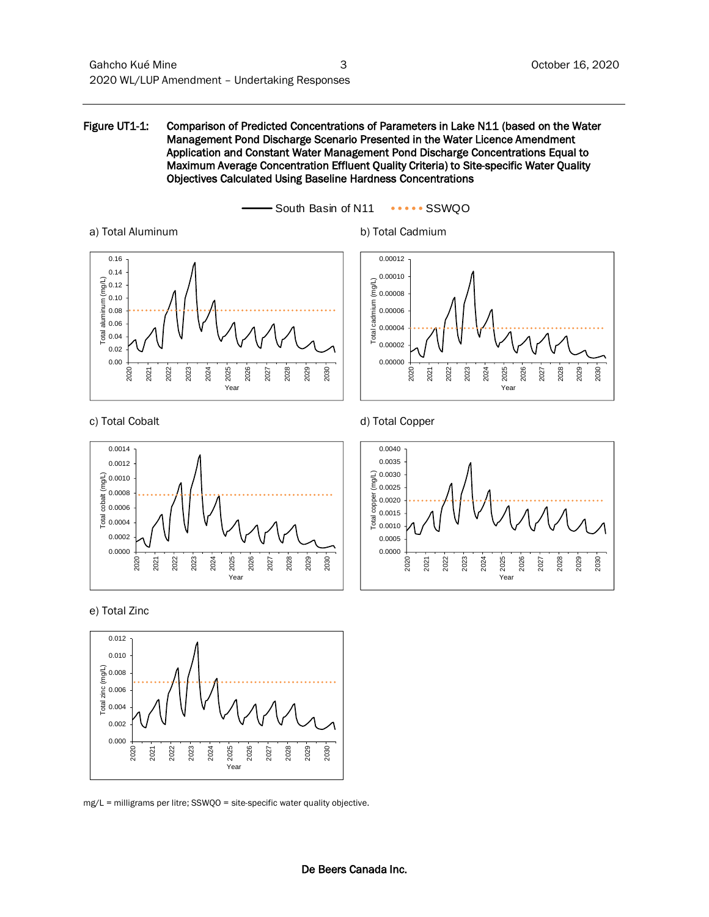Objectives Calculated Using Baseline Hardness Concentrations









2021





mg/L = milligrams per litre; SSWQO = site-specific water quality objective.

2030

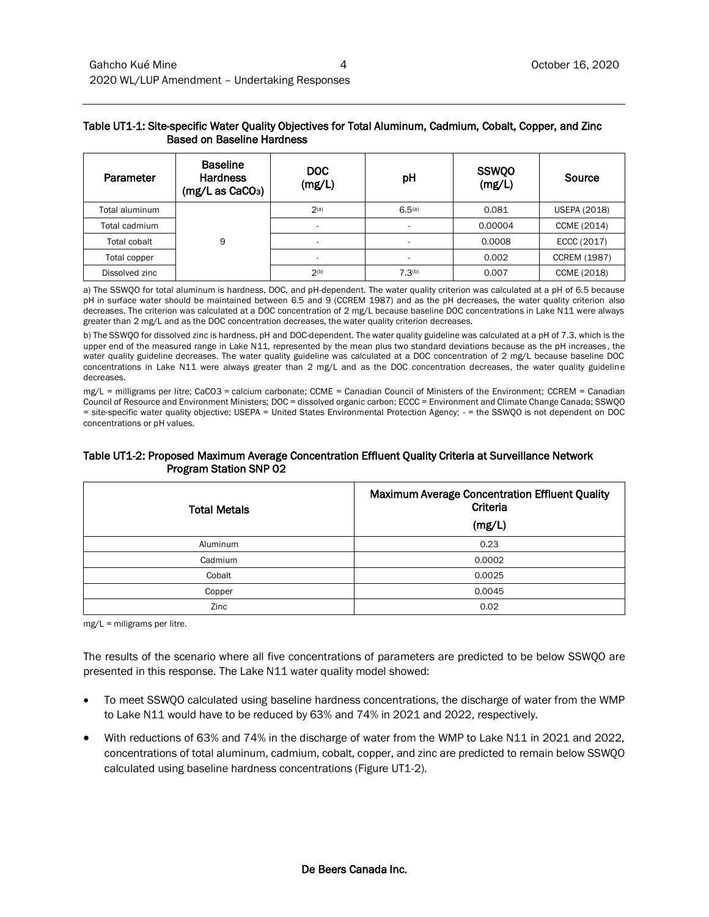#### Table UT1-1: Site-specific Water Quality Objectives for Total Aluminum, Cadmium, Cobalt, Copper, and Zinc Based on Baseline Hardness

| Parameter      | <b>Baseline</b><br><b>Hardness</b><br>(mg/L as CaCO <sub>3</sub> ) | <b>DOC</b><br>(mg/L) | pH                 | <b>SSWQO</b><br>(mg/L) | Source              |
|----------------|--------------------------------------------------------------------|----------------------|--------------------|------------------------|---------------------|
| Total aluminum | 9                                                                  | 2(a)                 | 6.5 <sup>(a)</sup> | 0.081                  | <b>USEPA (2018)</b> |
| Total cadmium  |                                                                    | ٠                    |                    | 0.00004                | CCME (2014)         |
| Total cobalt   |                                                                    |                      |                    | 0.0008                 | ECCC (2017)         |
| Total copper   |                                                                    | $\sim$               |                    | 0.002                  | <b>CCREM (1987)</b> |
| Dissolved zinc |                                                                    | 2(b)                 | 7.3 <sup>(b)</sup> | 0.007                  | CCME (2018)         |

a) The SSWQO for total aluminum is hardness, DOC, and pH-dependent. The water quality criterion was calculated at a pH of 6.5 because pH in surface water should be maintained between 6.5 and 9 (CCREM 1987) and as the pH decreases, the water quality criterion also decreases. The criterion was calculated at a DOC concentration of 2 mg/L because baseline DOC concentrations in Lake N11 were always greater than 2 mg/L and as the DOC concentration decreases, the water quality criterion decreases.

b) The SSWQO for dissolved zinc is hardness, pH and DOC-dependent. The water quality guideline was calculated at a pH of 7.3, which is the upper end of the measured range in Lake N11, represented by the mean plus two standard deviations because as the pH increases, the water quality guideline decreases. The water quality guideline was calculated at a DOC concentration of 2 mg/L because baseline DOC concentrations in Lake N11 were always greater than 2 mg/L and as the DOC concentration decreases, the water quality guideline decreases.

mg/L = milligrams per litre; CaCO3 = calcium carbonate; CCME = Canadian Council of Ministers of the Environment; CCREM = Canadian Council of Resource and Environment Ministers; DOC = dissolved organic carbon; ECCC = Environment and Climate Change Canada; SSWQO = site-specific water quality objective; USEPA = United States Environmental Protection Agency; - = the SSWQO is not dependent on DOC concentrations or pH values.

#### Table UT1-2: Proposed Maximum Average Concentration Effluent Quality Criteria at Surveillance Network Program Station SNP 02

| <b>Total Metals</b> | Maximum Average Concentration Effluent Quality<br>Criteria<br>(mg/L) |
|---------------------|----------------------------------------------------------------------|
| Aluminum            | 0.23                                                                 |
| Cadmium             | 0.0002                                                               |
| Cobalt              | 0.0025                                                               |
| Copper              | 0.0045                                                               |
| Zinc                | 0.02                                                                 |

mg/L = miligrams per litre.

The results of the scenario where all five concentrations of parameters are predicted to be below SSWQO are presented in this response. The Lake N11 water quality model showed:

- To meet SSWQO calculated using baseline hardness concentrations, the discharge of water from the WMP to Lake N11 would have to be reduced by 63% and 74% in 2021 and 2022, respectively.
- With reductions of 63% and 74% in the discharge of water from the WMP to Lake N11 in 2021 and 2022, concentrations of total aluminum, cadmium, cobalt, copper, and zinc are predicted to remain below SSWQO calculated using baseline hardness concentrations (Figure UT1-2).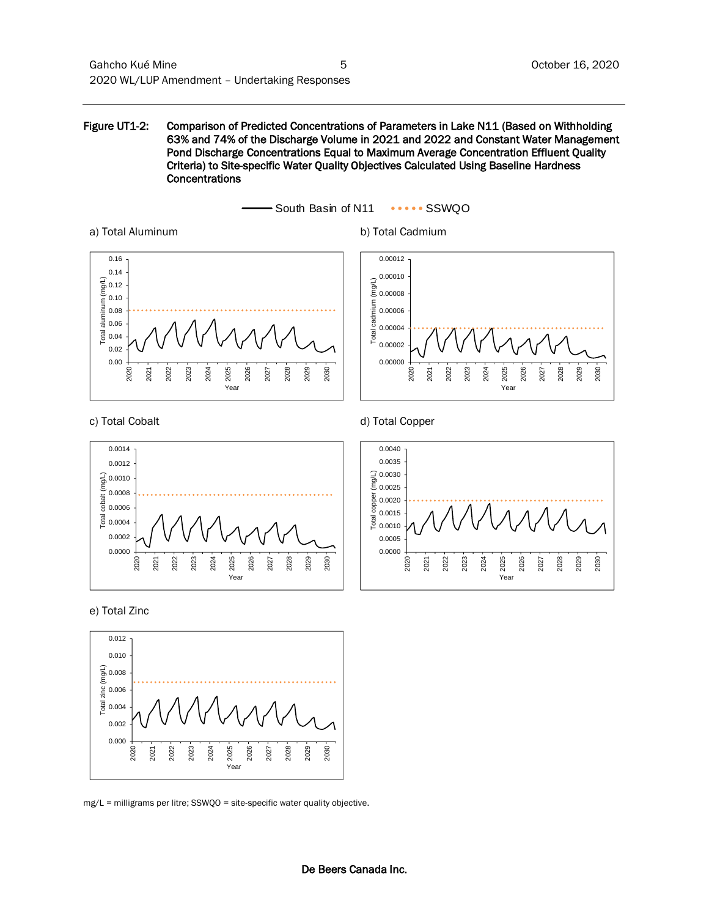Figure UT1-2: Comparison of Predicted Concentrations of Parameters in Lake N11 (Based on Withholding 63% and 74% of the Discharge Volume in 2021 and 2022 and Constant Water Management Pond Discharge Concentrations Equal to Maximum Average Concentration Effluent Quality Criteria) to Site-specific Water Quality Objectives Calculated Using Baseline Hardness Concentrations



a) Total Aluminum b) Total Cadmium



c) Total Cobalt (a) and the computation of the d) Total Copper 2026

2020 2021 2022 2023 2024 2025 2026 2027 2028 2029 2030

0.00000 0.00002 0.00004 0.00006  $\sum_{\substack{6 \text{odd } 0}}^{\infty}$  0.00008 0.00010 0.00012

2027

2028

2029

Year

2030

2025

Total cadmium (mg/L)

Imium ਰੂ Total





0.0000 0.0002  $\frac{1}{6}$  0.0004 0.0006 0.0008 0.0010 0.0012 0.0014

Total cobalt (mg/L)

**2020** 2021 2022 2023 2024 2025 2026 2027 2028 2029 2030



Yea

mg/L = milligrams per litre; SSWQO = site-specific water quality objective.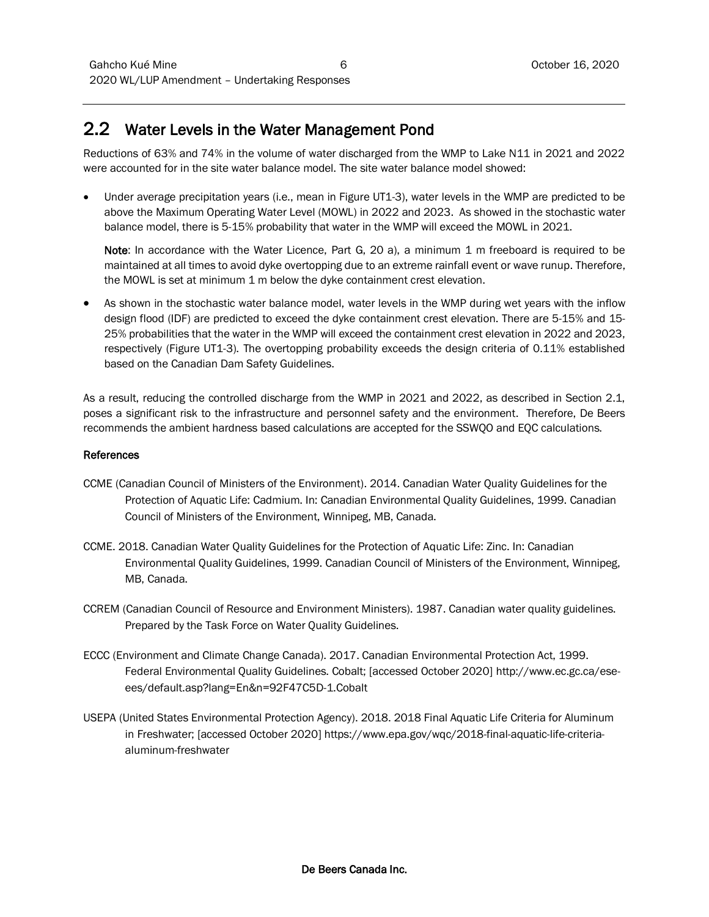## 2.2 Water Levels in the Water Management Pond

Reductions of 63% and 74% in the volume of water discharged from the WMP to Lake N11 in 2021 and 2022 were accounted for in the site water balance model. The site water balance model showed:

 Under average precipitation years (i.e., mean in Figure UT1-3), water levels in the WMP are predicted to be above the Maximum Operating Water Level (MOWL) in 2022 and 2023. As showed in the stochastic water balance model, there is 5-15% probability that water in the WMP will exceed the MOWL in 2021.

Note: In accordance with the Water Licence, Part G, 20 a), a minimum 1 m freeboard is required to be maintained at all times to avoid dyke overtopping due to an extreme rainfall event or wave runup. Therefore, the MOWL is set at minimum 1 m below the dyke containment crest elevation.

 As shown in the stochastic water balance model, water levels in the WMP during wet years with the inflow design flood (IDF) are predicted to exceed the dyke containment crest elevation. There are 5-15% and 15- 25% probabilities that the water in the WMP will exceed the containment crest elevation in 2022 and 2023, respectively (Figure UT1-3). The overtopping probability exceeds the design criteria of 0.11% established based on the Canadian Dam Safety Guidelines.

As a result, reducing the controlled discharge from the WMP in 2021 and 2022, as described in Section 2.1, poses a significant risk to the infrastructure and personnel safety and the environment. Therefore, De Beers recommends the ambient hardness based calculations are accepted for the SSWQO and EQC calculations.

#### References

- CCME (Canadian Council of Ministers of the Environment). 2014. Canadian Water Quality Guidelines for the Protection of Aquatic Life: Cadmium. In: Canadian Environmental Quality Guidelines, 1999. Canadian Council of Ministers of the Environment, Winnipeg, MB, Canada.
- CCME. 2018. Canadian Water Quality Guidelines for the Protection of Aquatic Life: Zinc. In: Canadian Environmental Quality Guidelines, 1999. Canadian Council of Ministers of the Environment, Winnipeg, MB, Canada.
- CCREM (Canadian Council of Resource and Environment Ministers). 1987. Canadian water quality guidelines. Prepared by the Task Force on Water Quality Guidelines.
- ECCC (Environment and Climate Change Canada). 2017. Canadian Environmental Protection Act, 1999. Federal Environmental Quality Guidelines. Cobalt; [accessed October 2020] [http://www.ec.gc.ca/ese](http://www.ec.gc.ca/ese-ees/default.asp?lang=En&n=92F47C5D-1.Cobalt)[ees/default.asp?lang=En&n=92F47C5D-1.Cobalt](http://www.ec.gc.ca/ese-ees/default.asp?lang=En&n=92F47C5D-1.Cobalt)
- USEPA (United States Environmental Protection Agency). 2018. 2018 Final Aquatic Life Criteria for Aluminum in Freshwater; [accessed October 2020] [https://www.epa.gov/wqc/2018-final-aquatic-life-criteria](https://www.epa.gov/wqc/2018-final-aquatic-life-criteria-aluminum-freshwater)[aluminum-freshwater](https://www.epa.gov/wqc/2018-final-aquatic-life-criteria-aluminum-freshwater)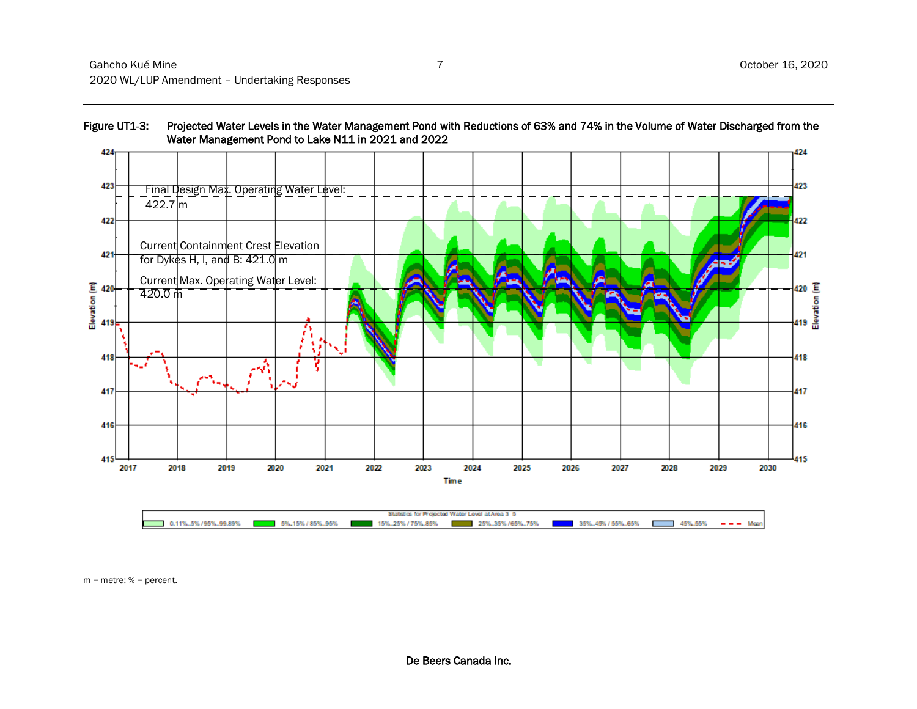

Figure UT1-3: Projected Water Levels in the Water Management Pond with Reductions of 63% and 74% in the Volume of Water Discharged from the

m = metre; % = percent.

 $0.11\%$ .5% /95%.99.89%

5%.15% / 85%.95%

25%.35% / 65%.75%

35%...45% / 55%...65%

 $-$  45%.55%  $-$  Mean

15%...25% / 75%.85%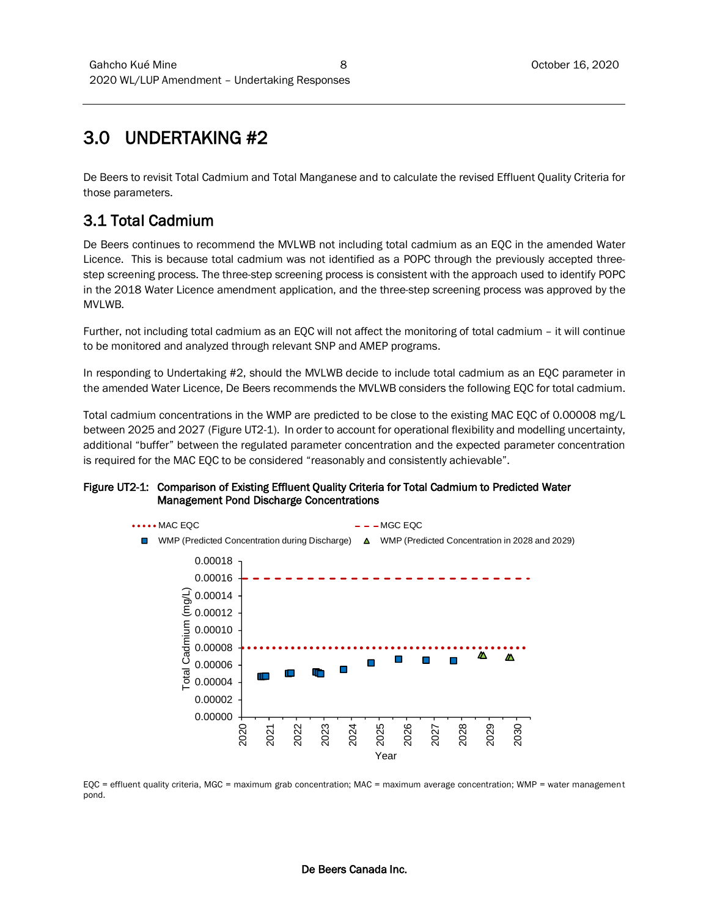## 3.0 UNDERTAKING #2

De Beers to revisit Total Cadmium and Total Manganese and to calculate the revised Effluent Quality Criteria for those parameters.

## 3.1 Total Cadmium

De Beers continues to recommend the MVLWB not including total cadmium as an EQC in the amended Water Licence. This is because total cadmium was not identified as a POPC through the previously accepted threestep screening process. The three-step screening process is consistent with the approach used to identify POPC in the 2018 Water Licence amendment application, and the three-step screening process was approved by the MVLWB.

Further, not including total cadmium as an EQC will not affect the monitoring of total cadmium – it will continue to be monitored and analyzed through relevant SNP and AMEP programs.

In responding to Undertaking #2, should the MVLWB decide to include total cadmium as an EQC parameter in the amended Water Licence, De Beers recommends the MVLWB considers the following EQC for total cadmium.

Total cadmium concentrations in the WMP are predicted to be close to the existing MAC EQC of 0.00008 mg/L between 2025 and 2027 (Figure UT2-1). In order to account for operational flexibility and modelling uncertainty, additional "buffer" between the regulated parameter concentration and the expected parameter concentration is required for the MAC EQC to be considered "reasonably and consistently achievable".

#### Figure UT2-1: Comparison of Existing Effluent Quality Criteria for Total Cadmium to Predicted Water Management Pond Discharge Concentrations



EQC = effluent quality criteria, MGC = maximum grab concentration; MAC = maximum average concentration; WMP = water management pond.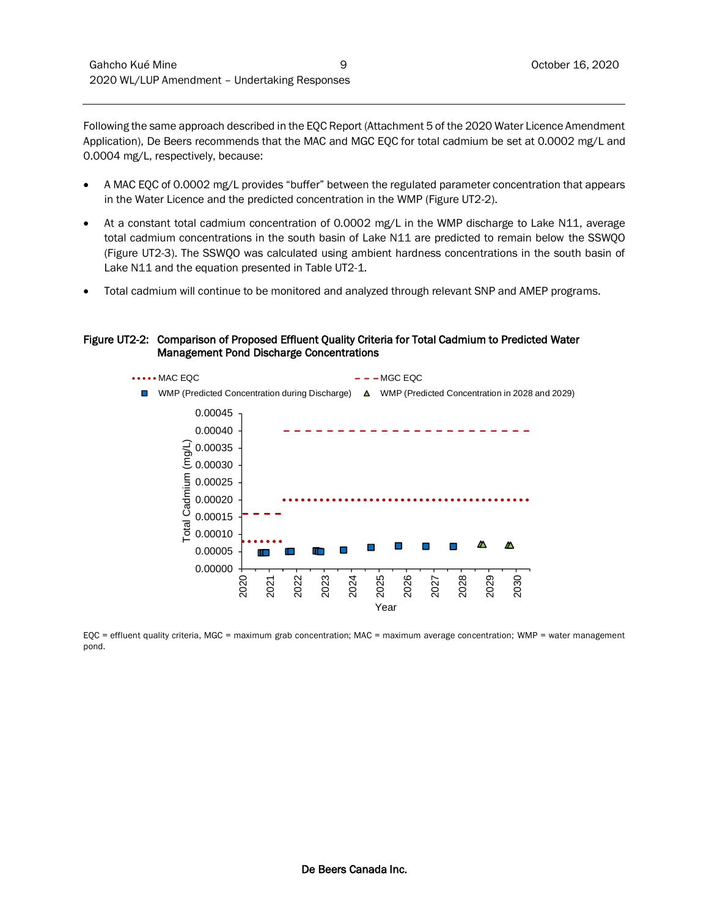Following the same approach described in the EQC Report (Attachment 5 of the 2020 Water Licence Amendment Application), De Beers recommends that the MAC and MGC EQC for total cadmium be set at 0.0002 mg/L and 0.0004 mg/L, respectively, because:

- A MAC EQC of 0.0002 mg/L provides "buffer" between the regulated parameter concentration that appears in the Water Licence and the predicted concentration in the WMP (Figure UT2-2).
- At a constant total cadmium concentration of 0.0002 mg/L in the WMP discharge to Lake N11, average total cadmium concentrations in the south basin of Lake N11 are predicted to remain below the SSWQO (Figure UT2-3). The SSWQO was calculated using ambient hardness concentrations in the south basin of Lake N11 and the equation presented in Table UT2-1.
- Total cadmium will continue to be monitored and analyzed through relevant SNP and AMEP programs.

#### Figure UT2-2: Comparison of Proposed Effluent Quality Criteria for Total Cadmium to Predicted Water Management Pond Discharge Concentrations



EQC = effluent quality criteria, MGC = maximum grab concentration; MAC = maximum average concentration; WMP = water management pond.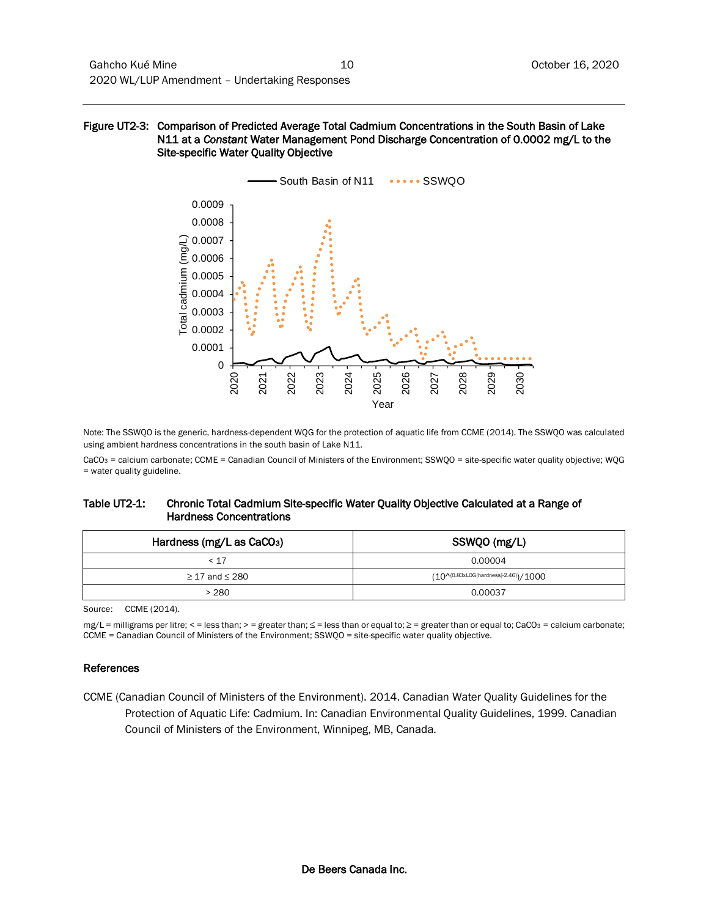#### Figure UT2-3: Comparison of Predicted Average Total Cadmium Concentrations in the South Basin of Lake N11 at a *Constant* Water Management Pond Discharge Concentration of 0.0002 mg/L to the Site-specific Water Quality Objective



Note: The SSWQO is the generic, hardness-dependent WQG for the protection of aquatic life from CCME (2014). The SSWQO was calculated using ambient hardness concentrations in the south basin of Lake N11.

CaCO<sub>3</sub> = calcium carbonate; CCME = Canadian Council of Ministers of the Environment; SSWQO = site-specific water quality objective; WQG = water quality guideline.

#### Table UT2-1: Chronic Total Cadmium Site-specific Water Quality Objective Calculated at a Range of Hardness Concentrations

| Hardness (mg/L as CaCO <sub>3</sub> ) | SSWQO (mg/L)                                    |
|---------------------------------------|-------------------------------------------------|
| < 17                                  | 0.00004                                         |
| $\geq$ 17 and $\leq$ 280              | $(10^{4(0.83 \times 10G[hardness]-2.46)})/1000$ |
| >280                                  | 0.00037                                         |

Source: CCME (2014).

mg/L = milligrams per litre; < = less than; > = greater than; ≤ = less than or equal to; ≥ = greater than or equal to; CaCO<sup>3</sup> = calcium carbonate; CCME = Canadian Council of Ministers of the Environment; SSWQO = site-specific water quality objective.

#### References

CCME (Canadian Council of Ministers of the Environment). 2014. Canadian Water Quality Guidelines for the Protection of Aquatic Life: Cadmium. In: Canadian Environmental Quality Guidelines, 1999. Canadian Council of Ministers of the Environment, Winnipeg, MB, Canada.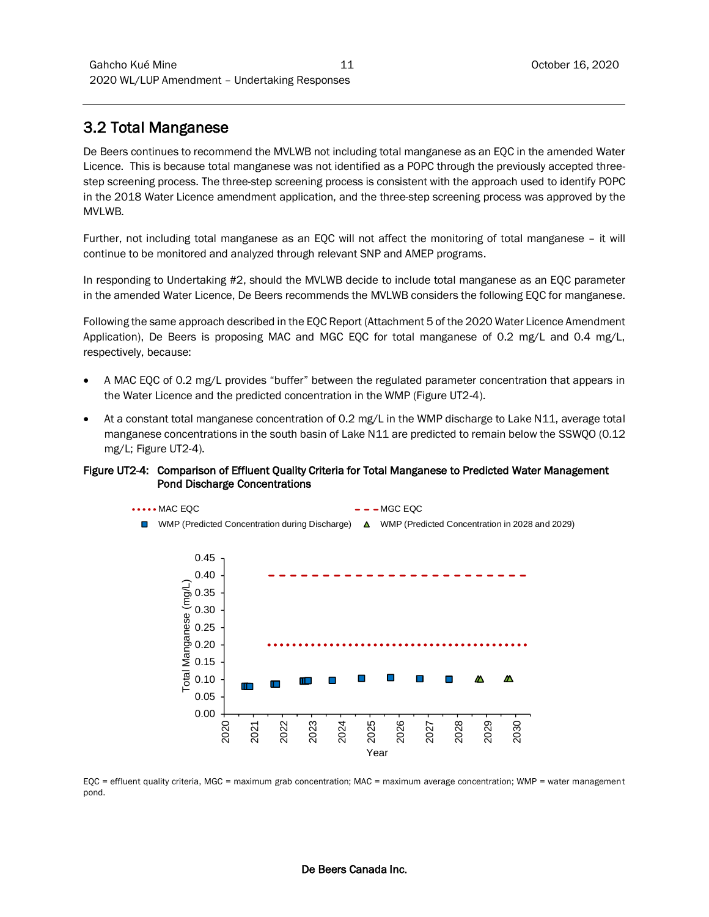### 3.2 Total Manganese

De Beers continues to recommend the MVLWB not including total manganese as an EQC in the amended Water Licence. This is because total manganese was not identified as a POPC through the previously accepted threestep screening process. The three-step screening process is consistent with the approach used to identify POPC in the 2018 Water Licence amendment application, and the three-step screening process was approved by the MVLWB.

Further, not including total manganese as an EQC will not affect the monitoring of total manganese – it will continue to be monitored and analyzed through relevant SNP and AMEP programs.

In responding to Undertaking #2, should the MVLWB decide to include total manganese as an EQC parameter in the amended Water Licence, De Beers recommends the MVLWB considers the following EQC for manganese.

Following the same approach described in the EQC Report (Attachment 5 of the 2020 Water Licence Amendment Application), De Beers is proposing MAC and MGC EQC for total manganese of 0.2 mg/L and 0.4 mg/L, respectively, because:

- A MAC EQC of 0.2 mg/L provides "buffer" between the regulated parameter concentration that appears in the Water Licence and the predicted concentration in the WMP (Figure UT2-4).
- At a constant total manganese concentration of 0.2 mg/L in the WMP discharge to Lake N11, average total manganese concentrations in the south basin of Lake N11 are predicted to remain below the SSWQO (0.12 mg/L; Figure UT2-4).

#### Figure UT2-4: Comparison of Effluent Quality Criteria for Total Manganese to Predicted Water Management Pond Discharge Concentrations



EQC = effluent quality criteria, MGC = maximum grab concentration; MAC = maximum average concentration; WMP = water management pond.